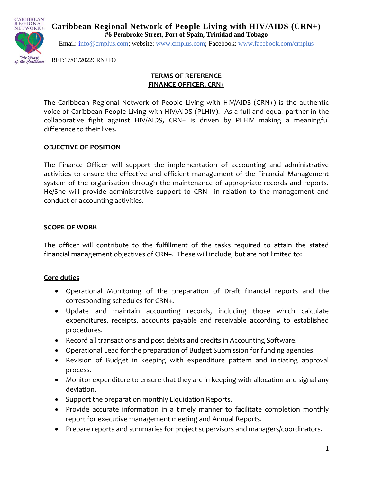

**Caribbean Regional Network of People Living with HIV/AIDS (CRN+) #6 Pembroke Street, Port of Spain, Trinidad and Tobago**

Email: [info@crnplus.com;](mailto:info@crnplus.com) website: [www.crnplus.com;](http://www.crnplus.com/) Facebook: [www.facebook.com/crnplus](http://www.facebook.com/crnplus)

REF:17/01/2022CRN+FO

### **TERMS OF REFERENCE FINANCE OFFICER, CRN+**

The Caribbean Regional Network of People Living with HIV/AIDS (CRN+) is the authentic voice of Caribbean People Living with HIV/AIDS (PLHIV). As a full and equal partner in the collaborative fight against HIV/AIDS, CRN+ is driven by PLHIV making a meaningful difference to their lives.

### **OBJECTIVE OF POSITION**

The Finance Officer will support the implementation of accounting and administrative activities to ensure the effective and efficient management of the Financial Management system of the organisation through the maintenance of appropriate records and reports. He/She will provide administrative support to CRN+ in relation to the management and conduct of accounting activities.

#### **SCOPE OF WORK**

The officer will contribute to the fulfillment of the tasks required to attain the stated financial management objectives of CRN+. These will include, but are not limited to:

#### **Core duties**

- Operational Monitoring of the preparation of Draft financial reports and the corresponding schedules for CRN+.
- Update and maintain accounting records, including those which calculate expenditures, receipts, accounts payable and receivable according to established procedures.
- Record all transactions and post debits and credits in Accounting Software.
- Operational Lead for the preparation of Budget Submission for funding agencies.
- Revision of Budget in keeping with expenditure pattern and initiating approval process.
- Monitor expenditure to ensure that they are in keeping with allocation and signal any deviation.
- Support the preparation monthly Liquidation Reports.
- Provide accurate information in a timely manner to facilitate completion monthly report for executive management meeting and Annual Reports.
- Prepare reports and summaries for project supervisors and managers/coordinators.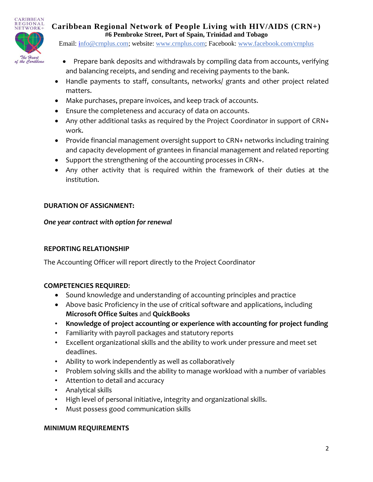

**Caribbean Regional Network of People Living with HIV/AIDS (CRN+) #6 Pembroke Street, Port of Spain, Trinidad and Tobago**

Email: [info@crnplus.com;](mailto:info@crnplus.com) website: [www.crnplus.com;](http://www.crnplus.com/) Facebook: [www.facebook.com/crnplus](http://www.facebook.com/crnplus)

- Prepare bank deposits and withdrawals by compiling data from accounts, verifying and balancing receipts, and sending and receiving payments to the bank.
- Handle payments to staff, consultants, networks/ grants and other project related matters.
- Make purchases, prepare invoices, and keep track of accounts.
- Ensure the completeness and accuracy of data on accounts.
- Any other additional tasks as required by the Project Coordinator in support of CRN+ work.
- Provide financial management oversight support to CRN+ networks including training and capacity development of grantees in financial management and related reporting
- Support the strengthening of the accounting processes in CRN+.
- Any other activity that is required within the framework of their duties at the institution.

# **DURATION OF ASSIGNMENT:**

### *One year contract with option for renewal*

# **REPORTING RELATIONSHIP**

The Accounting Officer will report directly to the Project Coordinator

# **COMPETENCIES REQUIRED**:

- Sound knowledge and understanding of accounting principles and practice
- Above basic Proficiency in the use of critical software and applications, including **Microsoft Office Suites** and **QuickBooks**
- **Knowledge of project accounting or experience with accounting for project funding**
- Familiarity with payroll packages and statutory reports
- Excellent organizational skills and the ability to work under pressure and meet set deadlines.
- Ability to work independently as well as collaboratively
- Problem solving skills and the ability to manage workload with a number of variables
- Attention to detail and accuracy
- Analytical skills
- High level of personal initiative, integrity and organizational skills.
- Must possess good communication skills

# **MINIMUM REQUIREMENTS**